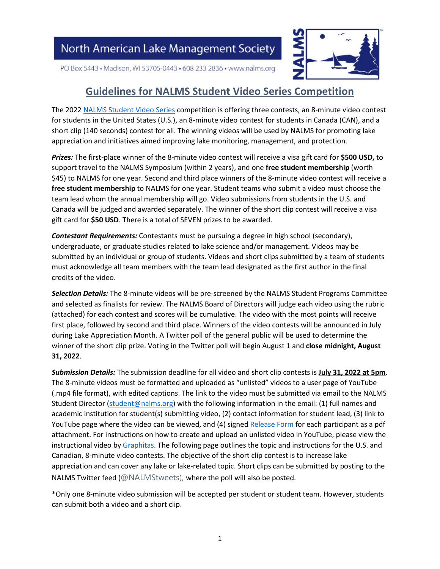

PO Box 5443 · Madison, WI 53705-0443 · 608 233 2836 · www.nalms.org

### **Guidelines for NALMS Student Video Series Competition**

The 2022 [NALMS Student Video Series](https://www.nalms.org/student-video-series/) competition is offering three contests, an 8-minute video contest for students in the United States (U.S.), an 8-minute video contest for students in Canada (CAN), and a short clip (140 seconds) contest for all. The winning videos will be used by NALMS for promoting lake appreciation and initiatives aimed improving lake monitoring, management, and protection.

*Prizes:* The first-place winner of the 8-minute video contest will receive a visa gift card for **\$500 USD,** to support travel to the NALMS Symposium (within 2 years), and one **free student membership** (worth \$45) to NALMS for one year. Second and third place winners of the 8-minute video contest will receive a **free student membership** to NALMS for one year. Student teams who submit a video must choose the team lead whom the annual membership will go. Video submissions from students in the U.S. and Canada will be judged and awarded separately. The winner of the short clip contest will receive a visa gift card for **\$50 USD**. There is a total of SEVEN prizes to be awarded.

*Contestant Requirements:* Contestants must be pursuing a degree in high school (secondary), undergraduate, or graduate studies related to lake science and/or management. Videos may be submitted by an individual or group of students. Videos and short clips submitted by a team of students must acknowledge all team members with the team lead designated as the first author in the final credits of the video.

*Selection Details:* The 8-minute videos will be pre-screened by the NALMS Student Programs Committee and selected as finalists for review. The NALMS Board of Directors will judge each video using the rubric (attached) for each contest and scores will be cumulative. The video with the most points will receive first place, followed by second and third place. Winners of the video contests will be announced in July during Lake Appreciation Month. A Twitter poll of the general public will be used to determine the winner of the short clip prize. Voting in the Twitter poll will begin August 1 and **close midnight, August 31, 2022**.

*Submission Details:* The submission deadline for all video and short clip contests is **July 31, 2022 at 5pm**. The 8-minute videos must be formatted and uploaded as "unlisted" videos to a user page of YouTube (.mp4 file format), with edited captions. The link to the video must be submitted via email to the NALMS Student Director [\(student@nalms.org\)](mailto:student@nalms.org) with the following information in the email: (1) full names and academic institution for student(s) submitting video, (2) contact information for student lead, (3) link to YouTube page where the video can be viewed, and (4) signed [Release Form](http://z0ku333mvy924cayk1kta4r1-wpengine.netdna-ssl.com/wp-content/uploads/2016/09/NALMS-Student-Videos_Release-Form_Fillable.pdf) for each participant as a pdf attachment. For instructions on how to create and upload an unlisted video in YouTube, please view the instructional video by [Graphitas.](https://www.graphitas.co.uk/blog/how-to-upload-an-unlisted-video-to-youtube/) The following page outlines the topic and instructions for the U.S. and Canadian, 8-minute video contests. The objective of the short clip contest is to increase lake appreciation and can cover any lake or lake-related topic. Short clips can be submitted by posting to the NALMS Twitter feed (@NALMStweets), where the poll will also be posted.

\*Only one 8-minute video submission will be accepted per student or student team. However, students can submit both a video and a short clip.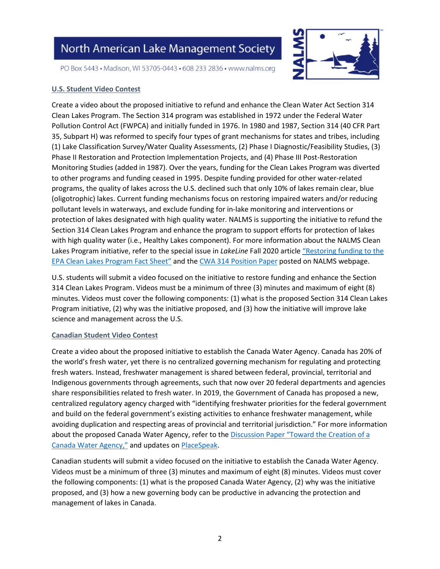

PO Box 5443 · Madison, WI 53705-0443 · 608 233 2836 · www.nalms.org

#### **U.S. Student Video Contest**

Create a video about the proposed initiative to refund and enhance the Clean Water Act Section 314 Clean Lakes Program. The Section 314 program was established in 1972 under the Federal Water Pollution Control Act (FWPCA) and initially funded in 1976. In 1980 and 1987, Section 314 (40 CFR Part 35, Subpart H) was reformed to specify four types of grant mechanisms for states and tribes, including (1) Lake Classification Survey/Water Quality Assessments, (2) Phase I Diagnostic/Feasibility Studies, (3) Phase II Restoration and Protection Implementation Projects, and (4) Phase III Post-Restoration Monitoring Studies (added in 1987). Over the years, funding for the Clean Lakes Program was diverted to other programs and funding ceased in 1995. Despite funding provided for other water-related programs, the quality of lakes across the U.S. declined such that only 10% of lakes remain clear, blue (oligotrophic) lakes. Current funding mechanisms focus on restoring impaired waters and/or reducing pollutant levels in waterways, and exclude funding for in-lake monitoring and interventions or protection of lakes designated with high quality water. NALMS is supporting the initiative to refund the Section 314 Clean Lakes Program and enhance the program to support efforts for protection of lakes with high quality water (i.e., Healthy Lakes component). For more information about the NALMS Clean Lakes Program initiative, refer to the special issue in *LakeLine* Fall 2020 article ["Restoring funding to the](https://z0ku333mvy924cayk1kta4r1-wpengine.netdna-ssl.com/wp-content/uploads/2020/10/40-3-6.pdf)  [EPA Clean Lakes Program Fact Sheet"](https://z0ku333mvy924cayk1kta4r1-wpengine.netdna-ssl.com/wp-content/uploads/2020/10/40-3-6.pdf) and the [CWA 314 Position Paper](https://www.nalms.org/nalms-position-papers/enhanced-314-clean-lakes-program-position-statement/) posted on NALMS webpage.

U.S. students will submit a video focused on the initiative to restore funding and enhance the Section 314 Clean Lakes Program. Videos must be a minimum of three (3) minutes and maximum of eight (8) minutes. Videos must cover the following components: (1) what is the proposed Section 314 Clean Lakes Program initiative, (2) why was the initiative proposed, and (3) how the initiative will improve lake science and management across the U.S.

#### **Canadian Student Video Contest**

Create a video about the proposed initiative to establish the Canada Water Agency. Canada has 20% of the world's fresh water, yet there is no centralized governing mechanism for regulating and protecting fresh waters. Instead, freshwater management is shared between federal, provincial, territorial and Indigenous governments through agreements, such that now over 20 federal departments and agencies share responsibilities related to fresh water. In 2019, the Government of Canada has proposed a new, centralized regulatory agency charged with "identifying freshwater priorities for the federal government and build on the federal government's existing activities to enhance freshwater management, while avoiding duplication and respecting areas of provincial and territorial jurisdiction." For more information about the proposed Canada Water Agency, refer to the Discussion Paper "Toward the Creation of a [Canada Water Agency,"](https://www.placespeak.com/uploads/6321/Canada_Water_Agency_Discussion_Paper.pdf) and updates o[n PlaceSpeak.](https://www.placespeak.com/en/topic/6321-protecting-canadas-fresh-water/)

Canadian students will submit a video focused on the initiative to establish the Canada Water Agency. Videos must be a minimum of three (3) minutes and maximum of eight (8) minutes. Videos must cover the following components: (1) what is the proposed Canada Water Agency, (2) why was the initiative proposed, and (3) how a new governing body can be productive in advancing the protection and management of lakes in Canada.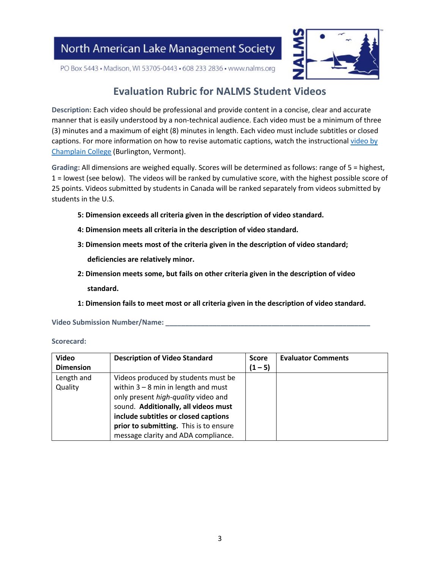

PO Box 5443 · Madison, WI 53705-0443 · 608 233 2836 · www.nalms.org

### **Evaluation Rubric for NALMS Student Videos**

**Description:** Each video should be professional and provide content in a concise, clear and accurate manner that is easily understood by a non-technical audience. Each video must be a minimum of three (3) minutes and a maximum of eight (8) minutes in length. Each video must include subtitles or closed captions. For more information on how to revise automatic captions, watch the instructional video by [Champlain College](https://www.youtube.com/watch?v=QCY0kj4f0GM) (Burlington, Vermont).

**Grading:** All dimensions are weighed equally. Scores will be determined as follows: range of 5 = highest, 1 = lowest (see below). The videos will be ranked by cumulative score, with the highest possible score of 25 points. Videos submitted by students in Canada will be ranked separately from videos submitted by students in the U.S.

- **5: Dimension exceeds all criteria given in the description of video standard.**
- **4: Dimension meets all criteria in the description of video standard.**
- **3: Dimension meets most of the criteria given in the description of video standard;**

**deficiencies are relatively minor.** 

- **2: Dimension meets some, but fails on other criteria given in the description of video standard.**
- **1: Dimension fails to meet most or all criteria given in the description of video standard.**

**Video Submission Number/Name: \_\_\_\_\_\_\_\_\_\_\_\_\_\_\_\_\_\_\_\_\_\_\_\_\_\_\_\_\_\_\_\_\_\_\_\_\_\_\_\_\_\_\_\_\_\_\_\_\_\_\_\_**

**Scorecard:**

| <b>Video</b>     | <b>Description of Video Standard</b>   | <b>Score</b> | <b>Evaluator Comments</b> |
|------------------|----------------------------------------|--------------|---------------------------|
| <b>Dimension</b> |                                        | $(1 - 5)$    |                           |
| Length and       | Videos produced by students must be    |              |                           |
| Quality          | within $3 - 8$ min in length and must  |              |                           |
|                  | only present high-quality video and    |              |                           |
|                  | sound. Additionally, all videos must   |              |                           |
|                  | include subtitles or closed captions   |              |                           |
|                  | prior to submitting. This is to ensure |              |                           |
|                  | message clarity and ADA compliance.    |              |                           |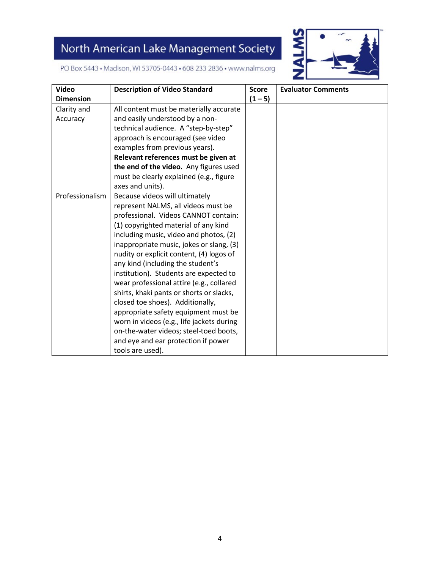

PO Box 5443 · Madison, WI 53705-0443 · 608 233 2836 · www.nalms.org

| <b>Video</b>     | <b>Description of Video Standard</b>      | <b>Score</b> | <b>Evaluator Comments</b> |
|------------------|-------------------------------------------|--------------|---------------------------|
| <b>Dimension</b> |                                           |              |                           |
|                  |                                           | $(1 - 5)$    |                           |
| Clarity and      | All content must be materially accurate   |              |                           |
| Accuracy         | and easily understood by a non-           |              |                           |
|                  | technical audience. A "step-by-step"      |              |                           |
|                  | approach is encouraged (see video         |              |                           |
|                  | examples from previous years).            |              |                           |
|                  | Relevant references must be given at      |              |                           |
|                  | the end of the video. Any figures used    |              |                           |
|                  | must be clearly explained (e.g., figure   |              |                           |
|                  | axes and units).                          |              |                           |
| Professionalism  | Because videos will ultimately            |              |                           |
|                  | represent NALMS, all videos must be       |              |                           |
|                  | professional. Videos CANNOT contain:      |              |                           |
|                  | (1) copyrighted material of any kind      |              |                           |
|                  | including music, video and photos, (2)    |              |                           |
|                  | inappropriate music, jokes or slang, (3)  |              |                           |
|                  | nudity or explicit content, (4) logos of  |              |                           |
|                  | any kind (including the student's         |              |                           |
|                  | institution). Students are expected to    |              |                           |
|                  | wear professional attire (e.g., collared  |              |                           |
|                  | shirts, khaki pants or shorts or slacks,  |              |                           |
|                  | closed toe shoes). Additionally,          |              |                           |
|                  | appropriate safety equipment must be      |              |                           |
|                  | worn in videos (e.g., life jackets during |              |                           |
|                  | on-the-water videos; steel-toed boots,    |              |                           |
|                  |                                           |              |                           |
|                  | and eye and ear protection if power       |              |                           |
|                  | tools are used).                          |              |                           |